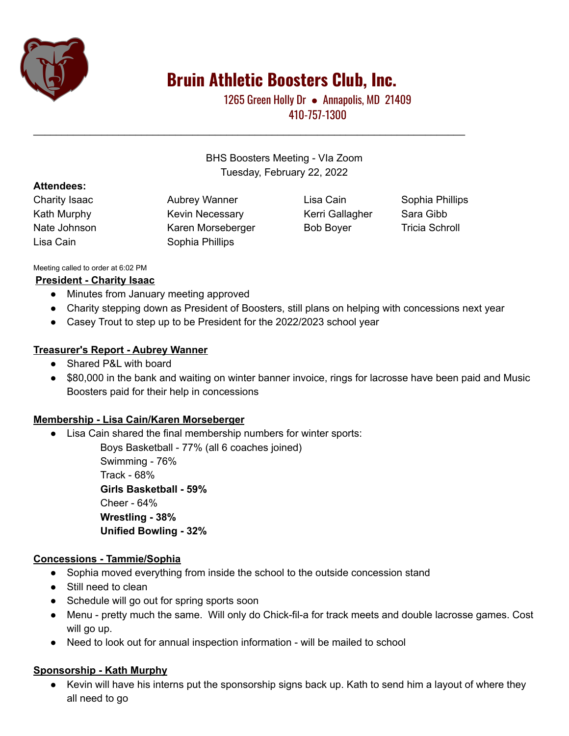

# **Bruin Athletic Boosters Club, Inc.**

1265 Green Holly Dr • Annapolis, MD 21409 410-757-1300

BHS Boosters Meeting - VIa Zoom Tuesday, February 22, 2022

\_\_\_\_\_\_\_\_\_\_\_\_\_\_\_\_\_\_\_\_\_\_\_\_\_\_\_\_\_\_\_\_\_\_\_\_\_\_\_\_\_\_\_\_\_\_\_\_\_\_\_\_\_\_\_\_\_\_\_\_\_\_\_\_\_\_\_\_\_\_\_\_\_\_\_\_

#### **Attendees:**

Charity Isaac **Aubrey Wanner** Lisa Cain Sophia Phillips Kath Murphy **Kevin Necessary Kerri Gallagher** Sara Gibb Nate Johnson **Karen Morseberger** Bob Boyer **Tricia Schroll** Lisa Cain Sophia Phillips

#### Meeting called to order at 6:02 PM

#### **President - Charity Isaac**

- Minutes from January meeting approved
- Charity stepping down as President of Boosters, still plans on helping with concessions next year
- Casey Trout to step up to be President for the 2022/2023 school year

### **Treasurer's Report - Aubrey Wanner**

- Shared P&L with board
- \$80,000 in the bank and waiting on winter banner invoice, rings for lacrosse have been paid and Music Boosters paid for their help in concessions

#### **Membership - Lisa Cain/Karen Morseberger**

● Lisa Cain shared the final membership numbers for winter sports:

Boys Basketball - 77% (all 6 coaches joined) Swimming - 76% Track - 68% **Girls Basketball - 59%** Cheer - 64% **Wrestling - 38% Unified Bowling - 32%**

## **Concessions - Tammie/Sophia**

- Sophia moved everything from inside the school to the outside concession stand
- Still need to clean
- Schedule will go out for spring sports soon
- Menu pretty much the same. Will only do Chick-fil-a for track meets and double lacrosse games. Cost will go up.
- Need to look out for annual inspection information will be mailed to school

#### **Sponsorship - Kath Murphy**

● Kevin will have his interns put the sponsorship signs back up. Kath to send him a layout of where they all need to go